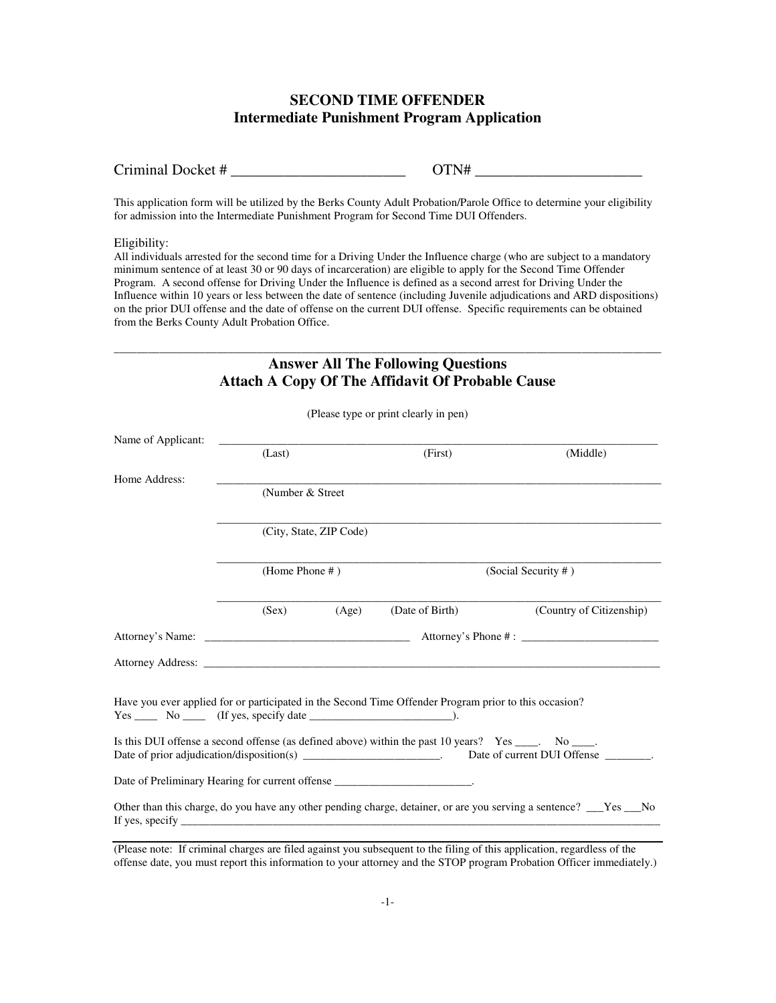# **SECOND TIME OFFENDER Intermediate Punishment Program Application**

This application form will be utilized by the Berks County Adult Probation/Parole Office to determine your eligibility for admission into the Intermediate Punishment Program for Second Time DUI Offenders.

#### Eligibility:

All individuals arrested for the second time for a Driving Under the Influence charge (who are subject to a mandatory minimum sentence of at least 30 or 90 days of incarceration) are eligible to apply for the Second Time Offender Program. A second offense for Driving Under the Influence is defined as a second arrest for Driving Under the Influence within 10 years or less between the date of sentence (including Juvenile adjudications and ARD dispositions) on the prior DUI offense and the date of offense on the current DUI offense. Specific requirements can be obtained from the Berks County Adult Probation Office.

### \_\_\_\_\_\_\_\_\_\_\_\_\_\_\_\_\_\_\_\_\_\_\_\_\_\_\_\_\_\_\_\_\_\_\_\_\_\_\_\_\_\_\_\_\_\_\_\_\_\_\_\_\_\_\_\_\_\_\_\_\_\_\_\_\_\_\_\_\_\_\_\_\_\_\_\_\_\_\_\_\_\_\_\_\_\_\_\_\_\_\_\_\_\_\_\_ **Answer All The Following Questions Attach A Copy Of The Affidavit Of Probable Cause**

|                                                                                    |                   |                         | (Please type or print clearly in pen)                                                                                                                                                                                          |                                                                                                                                                                                                                                |
|------------------------------------------------------------------------------------|-------------------|-------------------------|--------------------------------------------------------------------------------------------------------------------------------------------------------------------------------------------------------------------------------|--------------------------------------------------------------------------------------------------------------------------------------------------------------------------------------------------------------------------------|
| Name of Applicant:                                                                 | (Last)            |                         | (First)                                                                                                                                                                                                                        | (Middle)                                                                                                                                                                                                                       |
|                                                                                    |                   |                         |                                                                                                                                                                                                                                |                                                                                                                                                                                                                                |
| Home Address:                                                                      | (Number & Street) |                         |                                                                                                                                                                                                                                |                                                                                                                                                                                                                                |
|                                                                                    |                   |                         |                                                                                                                                                                                                                                |                                                                                                                                                                                                                                |
|                                                                                    |                   | (City, State, ZIP Code) |                                                                                                                                                                                                                                |                                                                                                                                                                                                                                |
|                                                                                    | (Home Phone #)    |                         | (Social Security #)                                                                                                                                                                                                            |                                                                                                                                                                                                                                |
|                                                                                    | (Sex)             | (Age)                   | (Date of Birth)                                                                                                                                                                                                                | (Country of Citizenship)                                                                                                                                                                                                       |
|                                                                                    |                   |                         |                                                                                                                                                                                                                                |                                                                                                                                                                                                                                |
|                                                                                    |                   |                         |                                                                                                                                                                                                                                | Attorney Address: No. 2016. The Contract of the Contract of the Contract of the Contract of the Contract of the Contract of the Contract of the Contract of the Contract of the Contract of the Contract of the Contract of th |
| $Yes \_\_\_\_$ No $\_\_\_\$ (If yes, specify date $\_\_\_\_\_\_\_\_\_\_\_\_\_$ .). |                   |                         | Have you ever applied for or participated in the Second Time Offender Program prior to this occasion?<br>Is this DUI offense a second offense (as defined above) within the past 10 years? Yes ____. No ____.                  | Date of prior adjudication/disposition(s) ________________________. Date of current DUI Offense ________.                                                                                                                      |
| Date of Preliminary Hearing for current offense ________________________________.  |                   |                         |                                                                                                                                                                                                                                |                                                                                                                                                                                                                                |
|                                                                                    |                   |                         | If yes, specify the same state of the state of the state of the state of the state of the state of the state of the state of the state of the state of the state of the state of the state of the state of the state of the st | Other than this charge, do you have any other pending charge, detainer, or are you serving a sentence? __Yes __No                                                                                                              |

(Please note: If criminal charges are filed against you subsequent to the filing of this application, regardless of the offense date, you must report this information to your attorney and the STOP program Probation Officer immediately.)